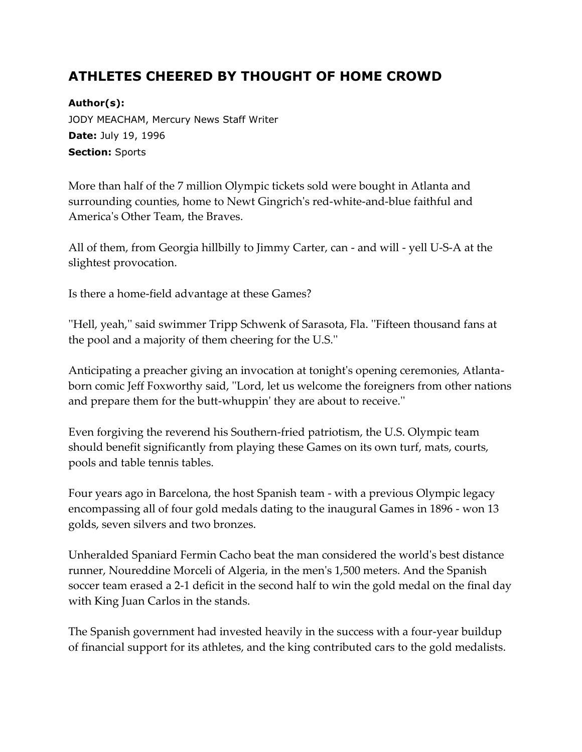## **ATHLETES CHEERED BY THOUGHT OF HOME CROWD**

**Author(s):** JODY MEACHAM, Mercury News Staff Writer **Date:** July 19, 1996 **Section:** Sports

More than half of the 7 million Olympic tickets sold were bought in Atlanta and surrounding counties, home to Newt Gingrich's red-white-and-blue faithful and America's Other Team, the Braves.

All of them, from Georgia hillbilly to Jimmy Carter, can - and will - yell U-S-A at the slightest provocation.

Is there a home-field advantage at these Games?

''Hell, yeah,'' said swimmer Tripp Schwenk of Sarasota, Fla. ''Fifteen thousand fans at the pool and a majority of them cheering for the U.S.''

Anticipating a preacher giving an invocation at tonight's opening ceremonies, Atlantaborn comic Jeff Foxworthy said, ''Lord, let us welcome the foreigners from other nations and prepare them for the butt-whuppin' they are about to receive.''

Even forgiving the reverend his Southern-fried patriotism, the U.S. Olympic team should benefit significantly from playing these Games on its own turf, mats, courts, pools and table tennis tables.

Four years ago in Barcelona, the host Spanish team - with a previous Olympic legacy encompassing all of four gold medals dating to the inaugural Games in 1896 - won 13 golds, seven silvers and two bronzes.

Unheralded Spaniard Fermin Cacho beat the man considered the world's best distance runner, Noureddine Morceli of Algeria, in the men's 1,500 meters. And the Spanish soccer team erased a 2-1 deficit in the second half to win the gold medal on the final day with King Juan Carlos in the stands.

The Spanish government had invested heavily in the success with a four-year buildup of financial support for its athletes, and the king contributed cars to the gold medalists.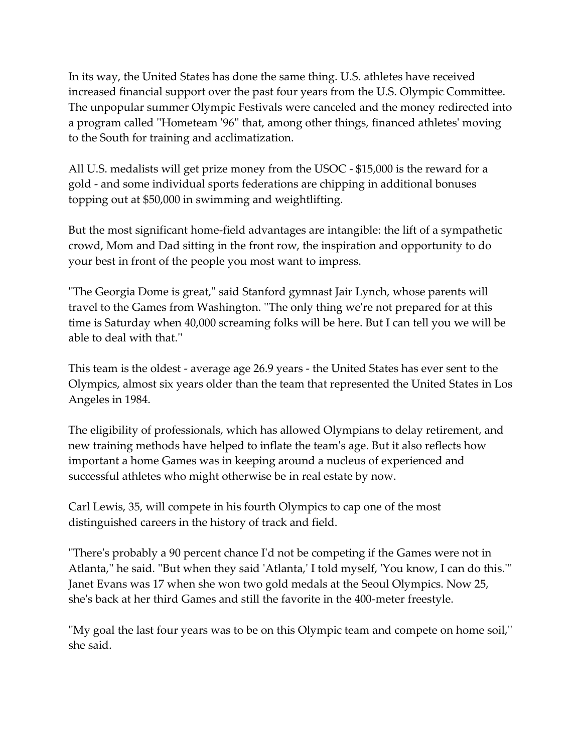In its way, the United States has done the same thing. U.S. athletes have received increased financial support over the past four years from the U.S. Olympic Committee. The unpopular summer Olympic Festivals were canceled and the money redirected into a program called ''Hometeam '96'' that, among other things, financed athletes' moving to the South for training and acclimatization.

All U.S. medalists will get prize money from the USOC - \$15,000 is the reward for a gold - and some individual sports federations are chipping in additional bonuses topping out at \$50,000 in swimming and weightlifting.

But the most significant home-field advantages are intangible: the lift of a sympathetic crowd, Mom and Dad sitting in the front row, the inspiration and opportunity to do your best in front of the people you most want to impress.

''The Georgia Dome is great,'' said Stanford gymnast Jair Lynch, whose parents will travel to the Games from Washington. ''The only thing we're not prepared for at this time is Saturday when 40,000 screaming folks will be here. But I can tell you we will be able to deal with that.''

This team is the oldest - average age 26.9 years - the United States has ever sent to the Olympics, almost six years older than the team that represented the United States in Los Angeles in 1984.

The eligibility of professionals, which has allowed Olympians to delay retirement, and new training methods have helped to inflate the team's age. But it also reflects how important a home Games was in keeping around a nucleus of experienced and successful athletes who might otherwise be in real estate by now.

Carl Lewis, 35, will compete in his fourth Olympics to cap one of the most distinguished careers in the history of track and field.

''There's probably a 90 percent chance I'd not be competing if the Games were not in Atlanta,'' he said. ''But when they said 'Atlanta,' I told myself, 'You know, I can do this.''' Janet Evans was 17 when she won two gold medals at the Seoul Olympics. Now 25, she's back at her third Games and still the favorite in the 400-meter freestyle.

''My goal the last four years was to be on this Olympic team and compete on home soil,'' she said.